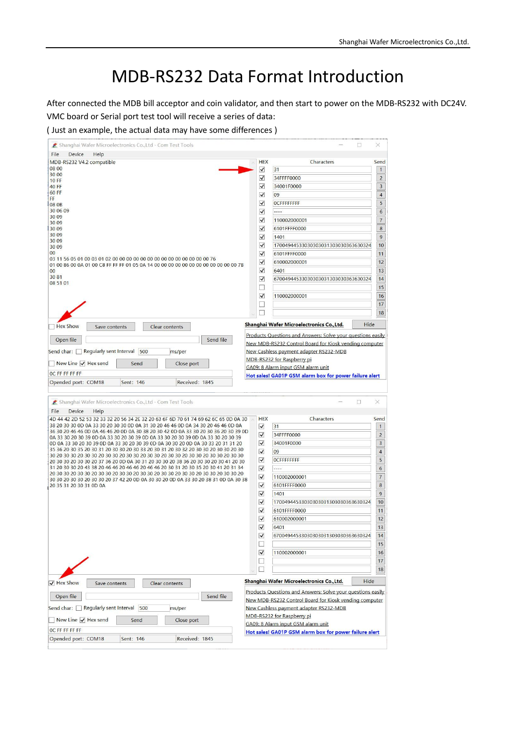# MDB-RS232 Data Format Introduction

After connected the MDB bill acceptor and coin validator, and then start to power on the MDB-RS232 with DC24V. VMC board or Serial port test tool will receive a series of data:

( Just an example, the actual data may have some differences )

| File<br>Device<br>Help                                                                                                                                                                                                                                                                                                                                                                                                                                                                                                                                                                                                                                                                                                                                                                                                                                                                                                                                                                                                                                                                                      |                         |                                                                                              |          |
|-------------------------------------------------------------------------------------------------------------------------------------------------------------------------------------------------------------------------------------------------------------------------------------------------------------------------------------------------------------------------------------------------------------------------------------------------------------------------------------------------------------------------------------------------------------------------------------------------------------------------------------------------------------------------------------------------------------------------------------------------------------------------------------------------------------------------------------------------------------------------------------------------------------------------------------------------------------------------------------------------------------------------------------------------------------------------------------------------------------|-------------------------|----------------------------------------------------------------------------------------------|----------|
| MDB-RS232 V4.2 compatible                                                                                                                                                                                                                                                                                                                                                                                                                                                                                                                                                                                                                                                                                                                                                                                                                                                                                                                                                                                                                                                                                   | <b>HEX</b>              | Characters                                                                                   | Send     |
| 08 00                                                                                                                                                                                                                                                                                                                                                                                                                                                                                                                                                                                                                                                                                                                                                                                                                                                                                                                                                                                                                                                                                                       | ✔                       | 31                                                                                           |          |
| 30 00<br><b>10 FF</b>                                                                                                                                                                                                                                                                                                                                                                                                                                                                                                                                                                                                                                                                                                                                                                                                                                                                                                                                                                                                                                                                                       | $\blacktriangledown$    | 34FFFF0000                                                                                   |          |
| <b>40 FF</b>                                                                                                                                                                                                                                                                                                                                                                                                                                                                                                                                                                                                                                                                                                                                                                                                                                                                                                                                                                                                                                                                                                | ✔                       | 34001F0000                                                                                   |          |
| 60 FF                                                                                                                                                                                                                                                                                                                                                                                                                                                                                                                                                                                                                                                                                                                                                                                                                                                                                                                                                                                                                                                                                                       | $\checkmark$            | 09                                                                                           |          |
| FF                                                                                                                                                                                                                                                                                                                                                                                                                                                                                                                                                                                                                                                                                                                                                                                                                                                                                                                                                                                                                                                                                                          | ✓                       | <b>OCFFFFFFFF</b>                                                                            |          |
| 08 0B<br>30 06 09                                                                                                                                                                                                                                                                                                                                                                                                                                                                                                                                                                                                                                                                                                                                                                                                                                                                                                                                                                                                                                                                                           |                         | $\cdots$                                                                                     |          |
| 30 09                                                                                                                                                                                                                                                                                                                                                                                                                                                                                                                                                                                                                                                                                                                                                                                                                                                                                                                                                                                                                                                                                                       | $\overline{\mathsf{v}}$ |                                                                                              |          |
| 30 09                                                                                                                                                                                                                                                                                                                                                                                                                                                                                                                                                                                                                                                                                                                                                                                                                                                                                                                                                                                                                                                                                                       | $\checkmark$            | 110002000001                                                                                 |          |
| 30 09                                                                                                                                                                                                                                                                                                                                                                                                                                                                                                                                                                                                                                                                                                                                                                                                                                                                                                                                                                                                                                                                                                       | $\blacktriangledown$    | 6101FFFF0000                                                                                 |          |
| 30 09<br>30 09                                                                                                                                                                                                                                                                                                                                                                                                                                                                                                                                                                                                                                                                                                                                                                                                                                                                                                                                                                                                                                                                                              | $\blacktriangledown$    | 1401                                                                                         |          |
| 30 09                                                                                                                                                                                                                                                                                                                                                                                                                                                                                                                                                                                                                                                                                                                                                                                                                                                                                                                                                                                                                                                                                                       | $\blacktriangledown$    | 17004944533030303031303030363630324                                                          |          |
| 00                                                                                                                                                                                                                                                                                                                                                                                                                                                                                                                                                                                                                                                                                                                                                                                                                                                                                                                                                                                                                                                                                                          | $\blacktriangledown$    | 6101FFFF0000                                                                                 |          |
|                                                                                                                                                                                                                                                                                                                                                                                                                                                                                                                                                                                                                                                                                                                                                                                                                                                                                                                                                                                                                                                                                                             | ✔                       | 610002000001                                                                                 |          |
| 01 00 86 00 0A 01 00 C8 FF FF FF 01 05 0A 14 00 00 00 00 00 00 00 00 00 00 00 00 7B<br>00                                                                                                                                                                                                                                                                                                                                                                                                                                                                                                                                                                                                                                                                                                                                                                                                                                                                                                                                                                                                                   | $\blacktriangledown$    | 6401                                                                                         |          |
| 3081                                                                                                                                                                                                                                                                                                                                                                                                                                                                                                                                                                                                                                                                                                                                                                                                                                                                                                                                                                                                                                                                                                        |                         | 67004944533030303031303030363630324                                                          |          |
| 08 51 01                                                                                                                                                                                                                                                                                                                                                                                                                                                                                                                                                                                                                                                                                                                                                                                                                                                                                                                                                                                                                                                                                                    | ✔                       |                                                                                              |          |
|                                                                                                                                                                                                                                                                                                                                                                                                                                                                                                                                                                                                                                                                                                                                                                                                                                                                                                                                                                                                                                                                                                             | u                       |                                                                                              |          |
|                                                                                                                                                                                                                                                                                                                                                                                                                                                                                                                                                                                                                                                                                                                                                                                                                                                                                                                                                                                                                                                                                                             | $\blacktriangledown$    | 110002000001                                                                                 |          |
|                                                                                                                                                                                                                                                                                                                                                                                                                                                                                                                                                                                                                                                                                                                                                                                                                                                                                                                                                                                                                                                                                                             |                         |                                                                                              |          |
|                                                                                                                                                                                                                                                                                                                                                                                                                                                                                                                                                                                                                                                                                                                                                                                                                                                                                                                                                                                                                                                                                                             |                         |                                                                                              |          |
|                                                                                                                                                                                                                                                                                                                                                                                                                                                                                                                                                                                                                                                                                                                                                                                                                                                                                                                                                                                                                                                                                                             |                         |                                                                                              |          |
| <b>Hex Show</b><br>Save contents<br>Clear contents                                                                                                                                                                                                                                                                                                                                                                                                                                                                                                                                                                                                                                                                                                                                                                                                                                                                                                                                                                                                                                                          |                         | Shanghai Wafer Microelectronics Co., Ltd.<br>Hide                                            |          |
| Sent: 146<br>Received: 1845                                                                                                                                                                                                                                                                                                                                                                                                                                                                                                                                                                                                                                                                                                                                                                                                                                                                                                                                                                                                                                                                                 |                         | Hot sales! GA01P GSM alarm box for power failure alert                                       |          |
| OC FF FF FF FF<br>Opended port: COM18<br>Shanghai Wafer Microelectronics Co., Ltd - Com Test Tools                                                                                                                                                                                                                                                                                                                                                                                                                                                                                                                                                                                                                                                                                                                                                                                                                                                                                                                                                                                                          |                         | □                                                                                            | $\times$ |
| Device<br>Help                                                                                                                                                                                                                                                                                                                                                                                                                                                                                                                                                                                                                                                                                                                                                                                                                                                                                                                                                                                                                                                                                              | <b>HEX</b>              | Characters                                                                                   | Send     |
|                                                                                                                                                                                                                                                                                                                                                                                                                                                                                                                                                                                                                                                                                                                                                                                                                                                                                                                                                                                                                                                                                                             | ✔                       | 31                                                                                           |          |
|                                                                                                                                                                                                                                                                                                                                                                                                                                                                                                                                                                                                                                                                                                                                                                                                                                                                                                                                                                                                                                                                                                             |                         |                                                                                              |          |
|                                                                                                                                                                                                                                                                                                                                                                                                                                                                                                                                                                                                                                                                                                                                                                                                                                                                                                                                                                                                                                                                                                             | $\blacktriangledown$    | 34FFFF0000                                                                                   |          |
|                                                                                                                                                                                                                                                                                                                                                                                                                                                                                                                                                                                                                                                                                                                                                                                                                                                                                                                                                                                                                                                                                                             | √                       | 34001F0000                                                                                   |          |
|                                                                                                                                                                                                                                                                                                                                                                                                                                                                                                                                                                                                                                                                                                                                                                                                                                                                                                                                                                                                                                                                                                             | $\checkmark$            | 09                                                                                           |          |
|                                                                                                                                                                                                                                                                                                                                                                                                                                                                                                                                                                                                                                                                                                                                                                                                                                                                                                                                                                                                                                                                                                             | √                       | <b>OCFFFFFFFF</b>                                                                            |          |
|                                                                                                                                                                                                                                                                                                                                                                                                                                                                                                                                                                                                                                                                                                                                                                                                                                                                                                                                                                                                                                                                                                             | $\checkmark$            | $-- - -$                                                                                     |          |
|                                                                                                                                                                                                                                                                                                                                                                                                                                                                                                                                                                                                                                                                                                                                                                                                                                                                                                                                                                                                                                                                                                             | ✔                       | 110002000001                                                                                 |          |
|                                                                                                                                                                                                                                                                                                                                                                                                                                                                                                                                                                                                                                                                                                                                                                                                                                                                                                                                                                                                                                                                                                             | ✔                       | 6101FFFF0000                                                                                 |          |
|                                                                                                                                                                                                                                                                                                                                                                                                                                                                                                                                                                                                                                                                                                                                                                                                                                                                                                                                                                                                                                                                                                             |                         |                                                                                              |          |
|                                                                                                                                                                                                                                                                                                                                                                                                                                                                                                                                                                                                                                                                                                                                                                                                                                                                                                                                                                                                                                                                                                             | ✔                       | 1401                                                                                         |          |
|                                                                                                                                                                                                                                                                                                                                                                                                                                                                                                                                                                                                                                                                                                                                                                                                                                                                                                                                                                                                                                                                                                             | $\checkmark$            | 17004944533030303031303030363630324                                                          |          |
|                                                                                                                                                                                                                                                                                                                                                                                                                                                                                                                                                                                                                                                                                                                                                                                                                                                                                                                                                                                                                                                                                                             | √                       | 6101FFFF0000                                                                                 |          |
|                                                                                                                                                                                                                                                                                                                                                                                                                                                                                                                                                                                                                                                                                                                                                                                                                                                                                                                                                                                                                                                                                                             | $\overline{\mathsf{v}}$ | 610002000001                                                                                 |          |
|                                                                                                                                                                                                                                                                                                                                                                                                                                                                                                                                                                                                                                                                                                                                                                                                                                                                                                                                                                                                                                                                                                             | ✔                       | 6401                                                                                         |          |
|                                                                                                                                                                                                                                                                                                                                                                                                                                                                                                                                                                                                                                                                                                                                                                                                                                                                                                                                                                                                                                                                                                             | ✔                       | 67004944533030303031303030363630324                                                          |          |
|                                                                                                                                                                                                                                                                                                                                                                                                                                                                                                                                                                                                                                                                                                                                                                                                                                                                                                                                                                                                                                                                                                             |                         |                                                                                              |          |
|                                                                                                                                                                                                                                                                                                                                                                                                                                                                                                                                                                                                                                                                                                                                                                                                                                                                                                                                                                                                                                                                                                             |                         |                                                                                              |          |
|                                                                                                                                                                                                                                                                                                                                                                                                                                                                                                                                                                                                                                                                                                                                                                                                                                                                                                                                                                                                                                                                                                             | $\blacktriangledown$    | 110002000001                                                                                 |          |
|                                                                                                                                                                                                                                                                                                                                                                                                                                                                                                                                                                                                                                                                                                                                                                                                                                                                                                                                                                                                                                                                                                             |                         |                                                                                              |          |
|                                                                                                                                                                                                                                                                                                                                                                                                                                                                                                                                                                                                                                                                                                                                                                                                                                                                                                                                                                                                                                                                                                             | $\mathcal{L}$           |                                                                                              |          |
| Save contents<br>Clear contents                                                                                                                                                                                                                                                                                                                                                                                                                                                                                                                                                                                                                                                                                                                                                                                                                                                                                                                                                                                                                                                                             |                         | Shanghai Wafer Microelectronics Co., Ltd.<br>Hide                                            |          |
|                                                                                                                                                                                                                                                                                                                                                                                                                                                                                                                                                                                                                                                                                                                                                                                                                                                                                                                                                                                                                                                                                                             |                         | Products Questions and Answers: Solve your questions easily                                  |          |
| Send file                                                                                                                                                                                                                                                                                                                                                                                                                                                                                                                                                                                                                                                                                                                                                                                                                                                                                                                                                                                                                                                                                                   |                         | New MDB-RS232 Control Board for Kiosk vending computer                                       |          |
| File<br>4D 44 42 2D 52 53 32 33 32 20 56 34 2E 32 20 63 6F 6D 70 61 74 69 62 6C 65 0D 0A 30<br>38 20 30 30 0D 0A 33 30 20 30 30 0D 0A 31 30 20 46 46 0D 0A 34 30 20 46 46 0D 0A<br>36 30 20 46 46 0D 0A 46 46 20 0D 0A 30 38 20 30 42 0D 0A 33 30 20 30 36 20 30 39 0D<br>0A 33 30 20 30 39 0D 0A 33 30 20 30 39 0D 0A 33 30 20 30 39 0D 0A 33 30 20 30 39<br>0D 0A 33 30 20 30 39 0D 0A 33 30 20 30 39 0D 0A 30 30 20 0D 0A 30 33 20 31 31 20<br>35 36 20 30 35 20 30 31 20 30 30 20 30 33 20 30 31 20 30 32 20 30 30 20 30 30 20 30<br>30 20 30 30 20 30 30 20 30 30 20 30 30 20 30 30 20 30 30 20 30 30 20 30 30 20 30 30<br>20 30 30 20 30 30 20 37 36 20 0D 0A 30 31 20 30 30 20 38 36 20 30 30 20 30 41 20 30<br>31 20 30 30 20 43 38 20 46 46 20 46 46 20 46 46 20 30 31 20 30 35 20 30 41 20 31 34<br>20 30 30 20 30 30 20 30 30 20 30 30 20 30 30 20 30 30 20 30 30 20 30 30 20 30 30 20<br>30 30 20 30 30 20 30 30 20 37 42 20 0D 0A 30 30 20 0D 0A 33 30 20 38 31 0D 0A 30 38<br>20 35 31 20 30 31 0D 0A<br>$\sqrt{ }$ Hex Show<br>Open file<br>Send char: Regularly sent Interval 500<br>ms/per |                         | New Cashless payment adapter RS232-MDB                                                       |          |
|                                                                                                                                                                                                                                                                                                                                                                                                                                                                                                                                                                                                                                                                                                                                                                                                                                                                                                                                                                                                                                                                                                             |                         |                                                                                              |          |
| New Line $\sqrt{}$ Hex send<br>Close port<br>Send                                                                                                                                                                                                                                                                                                                                                                                                                                                                                                                                                                                                                                                                                                                                                                                                                                                                                                                                                                                                                                                           |                         | MDB-RS232 for Raspberry pi                                                                   |          |
| OC FF FF FF FF                                                                                                                                                                                                                                                                                                                                                                                                                                                                                                                                                                                                                                                                                                                                                                                                                                                                                                                                                                                                                                                                                              |                         | GA09: 8 Alarm input GSM alarm unit<br>Hot sales! GA01P GSM alarm box for power failure alert |          |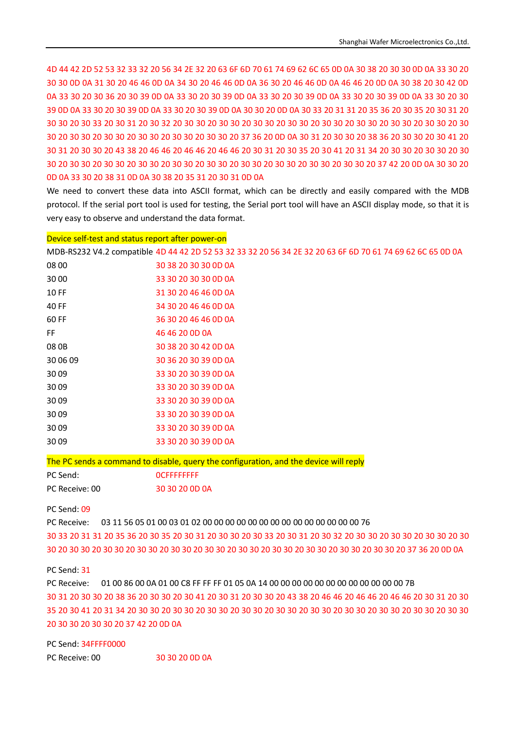4D 44 42 2D 52 53 32 33 32 20 56 34 2E 32 20 63 6F 6D 70 61 74 69 62 6C 65 0D 0A 30 38 20 30 30 0D 0A 33 30 20 30 30 0D 0A 31 30 20 46 46 0D 0A 34 30 20 46 46 0D 0A 36 30 20 46 46 0D 0A 46 46 20 0D 0A 30 38 20 30 42 0D 0A 33 30 20 30 36 20 30 39 0D 0A 33 30 20 30 39 0D 0A 33 30 20 30 39 0D 0A 33 30 20 30 39 0D 0A 33 30 20 30 39 0D 0A 33 30 20 30 39 0D 0A 33 30 20 30 39 0D 0A 30 30 20 0D 0A 30 33 20 31 31 20 35 36 20 30 35 20 30 31 20 30 30 20 30 33 20 30 31 20 30 32 20 30 30 20 30 30 20 30 30 20 30 30 20 30 30 20 30 30 20 30 30 20 30 30 20 30 30 20 30 30 20 30 30 20 30 30 20 30 30 20 30 30 20 37 36 20 0D 0A 30 31 20 30 30 20 38 36 20 30 30 20 30 41 20 30 31 20 30 30 20 43 38 20 46 46 20 46 46 20 46 46 20 30 31 20 30 35 20 30 41 20 31 34 20 30 30 20 30 30 20 30 30 20 30 30 20 30 30 20 30 30 20 30 30 20 30 30 20 30 30 20 30 30 20 30 30 20 30 30 20 37 42 20 0D 0A 30 30 20 0D 0A 33 30 20 38 31 0D 0A 30 38 20 35 31 20 30 31 0D 0A

We need to convert these data into ASCII format, which can be directly and easily compared with the MDB protocol. If the serial port tool is used for testing, the Serial port tool will have an ASCII display mode, so that it is very easy to observe and understand the data format.

#### Device self-test and status report after power-on

MDB-RS232 V4.2 compatible 4D 44 42 2D 52 53 32 33 32 20 56 34 2E 32 20 63 6F 6D 70 61 74 69 62 6C 65 0D 0A

| 08 00    | 30 38 20 30 30 0D 0A |
|----------|----------------------|
| 30 00    | 33 30 20 30 30 0D 0A |
| 10 FF    | 31 30 20 46 46 0D 0A |
| 40 FF    | 34 30 20 46 46 0D 0A |
| 60 FF    | 36 30 20 46 46 0D 0A |
| FF       | 46 46 20 0D 0A       |
| 08 OB    | 30 38 20 30 42 0D 0A |
| 30.06.09 | 30 36 20 30 39 0D 0A |
| 3009     | 33 30 20 30 39 0D 0A |
| 3009     | 33 30 20 30 39 0D 0A |
| 3009     | 33 30 20 30 39 0D 0A |
| 30.09    | 33 30 20 30 39 0D 0A |
| 3009     | 33 30 20 30 39 0D 0A |
| 30 09    | 33 30 20 30 39 0D 0A |

The PC sends a command to disable, query the configuration, and the device will reply

| PC Send:       | <b>OCFFFFFFFFF</b> |
|----------------|--------------------|
| PC Receive: 00 | 30 30 20 0D 0A     |

PC Send: 09

PC Receive: 03 11 56 05 01 00 03 01 02 00 00 00 00 00 00 00 00 00 00 00 00 00 00 76

30 33 20 31 31 20 35 36 20 30 35 20 30 31 20 30 30 20 30 33 20 30 31 20 30 32 20 30 30 20 30 30 20 30 30 20 30 30 20 30 30 20 30 30 20 30 30 20 30 30 20 30 30 20 30 30 20 30 30 20 30 30 20 30 30 20 30 30 20 37 36 20 0D 0A

### PC Send: 31

PC Receive: 01 00 86 00 0A 01 00 C8 FF FF FF 01 05 0A 14 00 00 00 00 00 00 00 00 00 00 00 00 7B 30 31 20 30 30 20 38 36 20 30 30 20 30 41 20 30 31 20 30 30 20 43 38 20 46 46 20 46 46 20 46 46 20 30 31 20 30 35 20 30 41 20 31 34 20 30 30 20 30 30 20 30 30 20 30 30 20 30 30 20 30 30 20 30 30 20 30 30 20 30 30 20 30 30 20 30 30 20 30 30 20 37 42 20 0D 0A

PC Send: 34FFFF0000 PC Receive: 00 30 30 30 20 0D 0A